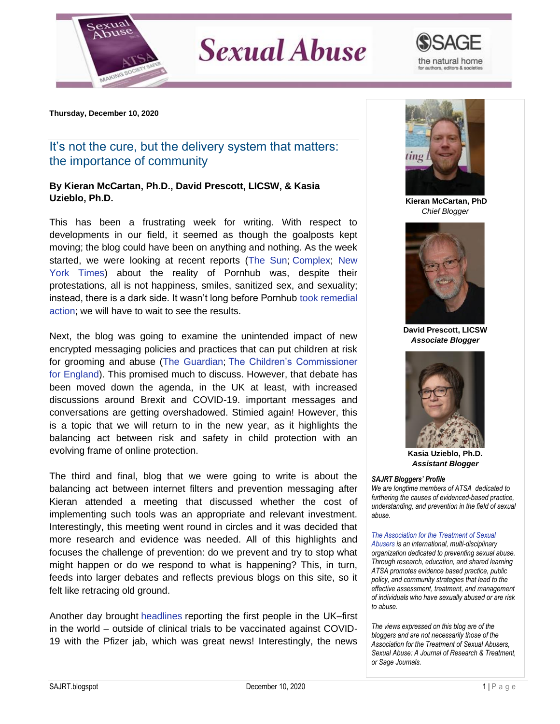

## **Sexual Abuse**



**Thursday, December 10, 2020**

## It's not the cure, but the delivery system that matters: the importance of community

## **By Kieran McCartan, Ph.D., David Prescott, LICSW, & Kasia Uzieblo, Ph.D.**

This has been a frustrating week for writing. With respect to developments in our field, it seemed as though the goalposts kept moving; the blog could have been on anything and nothing. As the week started, we were looking at recent reports [\(The Sun;](https://www.thesun.co.uk/news/13407521/pornhub-investigated-visa-mastercard-alleged-rape-child-sexual-abuse-content/) [Complex;](https://www.complex.com/life/2020/11/pornhub-black-friday-lifetime-membership-deal) [New](https://www.google.com/amp/s/www.nytimes.com/2020/12/04/opinion/sunday/pornhub-rape-trafficking.amp.html)  [York Times\)](https://www.google.com/amp/s/www.nytimes.com/2020/12/04/opinion/sunday/pornhub-rape-trafficking.amp.html) about the reality of Pornhub was, despite their protestations, all is not happiness, smiles, sanitized sex, and sexuality; instead, there is a dark side. It wasn't long before Pornhub [took remedial](https://www.xbiz.com/news/256114/pornhub-releases-new-guidelines-for-content-uploads)  [action;](https://www.xbiz.com/news/256114/pornhub-releases-new-guidelines-for-content-uploads) we will have to wait to see the results.

Next, the blog was going to examine the unintended impact of new encrypted messaging policies and practices that can put children at risk for grooming and abuse [\(The Guardian;](https://www.theguardian.com/uk-news/2020/nov/23/facebooks-encryption-plans-could-help-child-abusers-escape-justice-nca-warns) [The Children's Commissioner](https://www.childrenscommissioner.gov.uk/report/access-denied-how-end-to-end-encryption-threatens-childrens-safety-online/)  [for England\)](https://www.childrenscommissioner.gov.uk/report/access-denied-how-end-to-end-encryption-threatens-childrens-safety-online/). This promised much to discuss. However, that debate has been moved down the agenda, in the UK at least, with increased discussions around Brexit and COVID-19. important messages and conversations are getting overshadowed. Stimied again! However, this is a topic that we will return to in the new year, as it highlights the balancing act between risk and safety in child protection with an evolving frame of online protection.

The third and final, blog that we were going to write is about the balancing act between internet filters and prevention messaging after Kieran attended a meeting that discussed whether the cost of implementing such tools was an appropriate and relevant investment. Interestingly, this meeting went round in circles and it was decided that more research and evidence was needed. All of this highlights and focuses the challenge of prevention: do we prevent and try to stop what might happen or do we respond to what is happening? This, in turn, feeds into larger debates and reflects previous blogs on this site, so it felt like retracing old ground.

Another day brought [headlines](https://www.bbc.co.uk/news/live/world-55227103) reporting the first people in the UK–first in the world – outside of clinical trials to be vaccinated against COVID-19 with the Pfizer jab, which was great news! Interestingly, the news



**Kieran McCartan, PhD** *Chief Blogger*



**David Prescott, LICSW** *Associate Blogger*



**Kasia Uzieblo, Ph.D.** *Assistant Blogger*

## *SAJRT Bloggers' Profile*

*We are longtime members of ATSA dedicated to furthering the causes of evidenced-based practice, understanding, and prevention in the field of sexual abuse.*

*[The Association for the Treatment of Sexual](http://atsa.com/)  [Abusers](http://atsa.com/) is an international, multi-disciplinary organization dedicated to preventing sexual abuse. Through research, education, and shared learning ATSA promotes evidence based practice, public policy, and community strategies that lead to the effective assessment, treatment, and management of individuals who have sexually abused or are risk to abuse.* 

*The views expressed on this blog are of the bloggers and are not necessarily those of the Association for the Treatment of Sexual Abusers, Sexual Abuse: A Journal of Research & Treatment, or Sage Journals.*